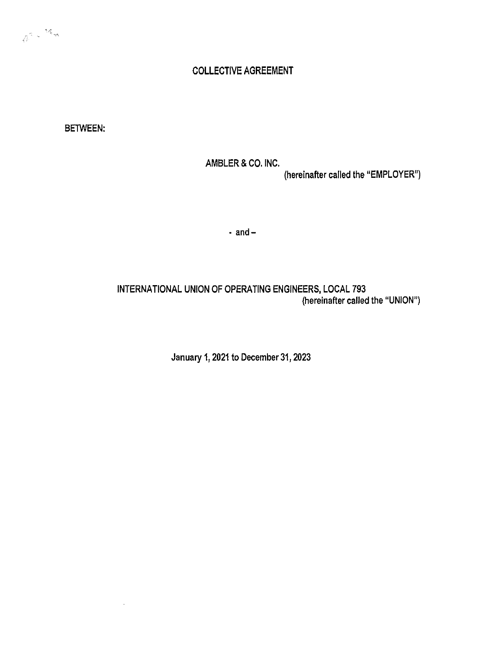# COLLECTIVE AGREEMENT

BETWEEN:

AMBLER & CO. INC. (hereinafter called the "EMPLOYER")

 $-$  and  $-$ 

INTERNATIONAL UNION OF OPERATING ENGINEERS, LOCAL 793 (hereinafter called the "UNION")

January 1, 2021 to December 31, 2023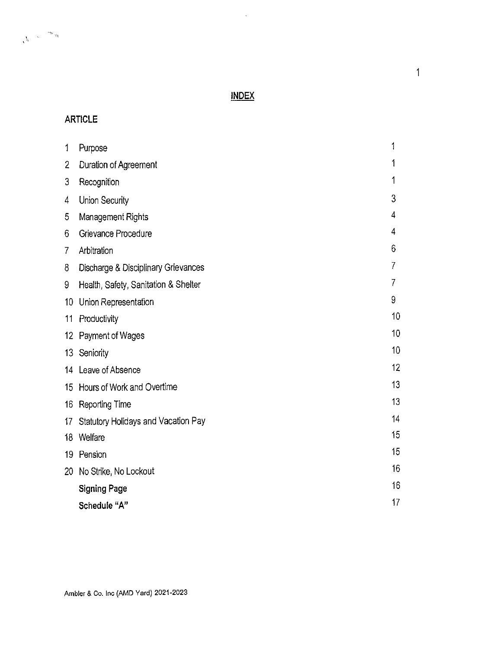# **INDEX**

 $\sim 10$ 

# **ARTICLE**

| 1              | Purpose                              | 1  |
|----------------|--------------------------------------|----|
| $\overline{2}$ | Duration of Agreement                | 1  |
| 3              | Recognition                          | 1  |
| 4              | Union Security                       | 3  |
| 5              | Management Rights                    | 4  |
| 6              | Grievance Procedure                  | 4  |
| 7              | Arbitration                          | 6  |
| 8              | Discharge & Disciplinary Grievances  | 7  |
| 9              | Health, Safety, Sanitation & Shelter | 7  |
| 10             | Union Representation                 | 9  |
| 11             | Productivity                         | 10 |
|                | 12 Payment of Wages                  | 10 |
|                | 13 Seniority                         | 10 |
|                | 14 Leave of Absence                  | 12 |
|                | 15 Hours of Work and Overtime        | 13 |
|                | 16 Reporting Time                    | 13 |
| 17             | Statutory Holidays and Vacation Pay  | 14 |
|                | 18 Welfare                           | 15 |
| 19             | Pension                              | 15 |
|                | 20 No Strike, No Lockout             | 16 |
|                | <b>Signing Page</b>                  | 16 |
|                | Schedule "A"                         | 17 |

 $\overline{1}$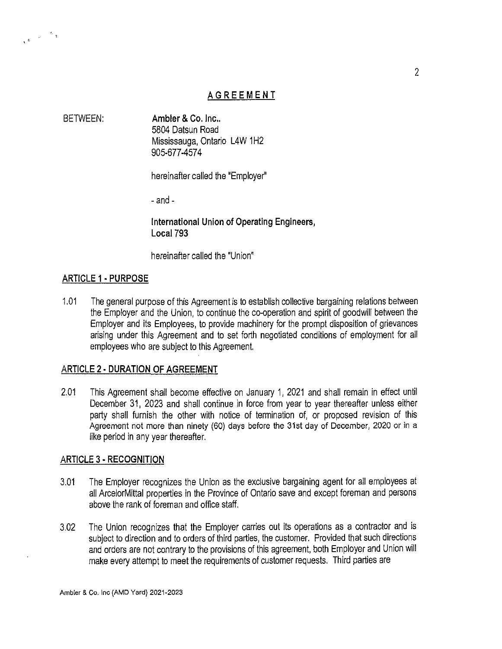# AGREEMENT

BETWEEN: Ambler & Co. Inc.. 5804 Datsun Road Mississauga, Ontario L4W 1H2 905-677-457 4

hereinafter called the "Employer"

- and -

International Union of Operating Engineers, Local793

hereinafter called the "Union"

#### ARTICLE 1 • PURPOSE

 $\begin{smallmatrix}&&&\text{\color{red}{\ell}}\\ &&\text{\color{red}{\ell}}\\ \mathbf{t}^{\frac{1}{3}}&\text{\color{red}{\ell}}\end{smallmatrix}$ 

1.01 The general purpose of this Agreement is to establish collective bargaining relations between the Employer and the Union, to continue the co-operation and spirit of goodwill between the Employer and its Employees, to provide machinery for the prompt disposition of grievances arising under this Agreement and to set forth negotiated conditions of employment for all employees who are subject to this Agreement.

### ARTICLE 2 ·DURATION OF AGREEMENT

2.01 This Agreement shall become effective on January 1, 2021 and shall remain in effect until December 31, 2023 and shall continue in force from year to year thereafter unless either party shall furnish the other with notice of termination of, or proposed revision of this Agreement not more than ninety (60) days before the 31st day of December, 2020 or in a like period in any year thereafter.

### ARTICLE 3 • RECOGNITION

- 3.01 The Employer recognizes the Union as the exclusive bargaining agent for all employees at all ArcelorMittal properties in the Province of Ontario save and except foreman and persons above the rank of foreman and office staff.
- 3.02 The Union recognizes that the Employer carries out its operations as a contractor and is subject to direction and to orders of third parties, the customer. Provided that such directions and orders are not contrary to the provisions of this agreement, both Employer and Union will make every attempt to meet the requirements of customer requests. Third parties are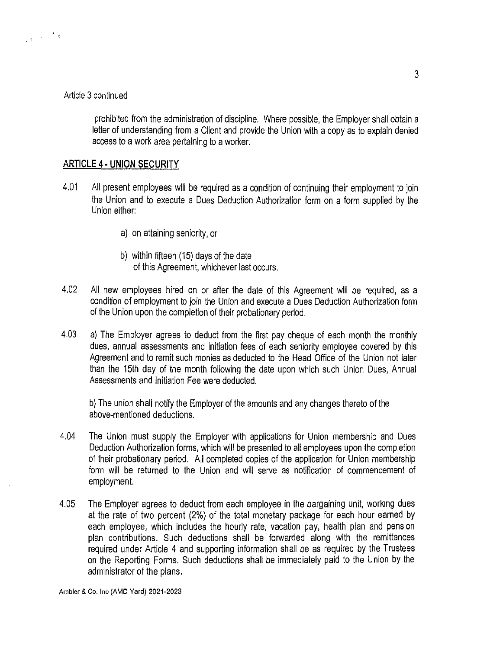#### Article 3 continued

prohibited from the administration of discipline. Where possible, the Employer shall obtain a letter of understanding from a Client and provide the Union with a copy as to explain denied access to a work area pertaining to a worker.

#### **ARTICLE 4 · UNION SECURITY**

- 4.01 All present employees will be required as a condition of continuing their employment to join the Union and to execute a Dues Deduction Authorization form on a form supplied by the Union either:
	- a) on attaining seniority, or
	- b) within fifteen (15) days of the date of this Agreement, whichever last occurs.
- 4.02 All new employees hired on or after the date of this Agreement will be required, as a condition of employment to join the Union and execute a Dues Deduction Authorization form of the Union upon the completion of their probationary period.
- 4.03 a) The Employer agrees to deduct from the first pay cheque of each month the monthly dues, annual assessments and initiation fees of each seniority employee covered by this Agreement and to remit such monies as deducted to the Head Office of the Union not later than the 15th day of the month following the date upon which such Union Dues, Annual Assessments and Initiation Fee were deducted.

b) The union shall notify the Employer of the amounts and any changes thereto of the above-mentioned deductions.

- 4.04 The Union must supply the Employer with applications for Union membership and Dues Deduction Authorization forms, which will be presented to all employees upon the completion of their probationary period. All completed copies of the application for Union membership form will be returned to the Union and will serve as notification of commencement of employment.
- 4.05 The Employer agrees to deduct from each employee in the bargaining unit, working dues at the rate of two percent (2%) of the total monetary package for each hour earned by each employee, which includes the hourly rate, vacation pay, health plan and pension plan contributions. Such deductions shall be forwarded along with the remittances required under Article 4 and supporting information shall be as required by the Trustees on the Reporting Forms. Such deductions shall be immediately paid to the Union by the administrator of the plans.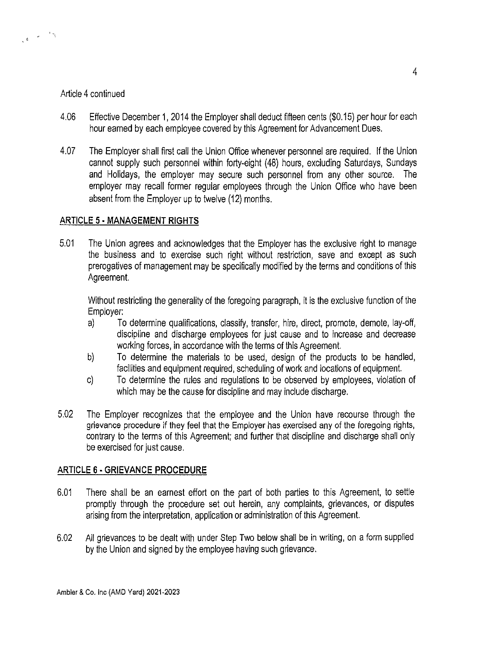### Article 4 continued

- 4.06 Effective December 1, 2014 the Employer shall deduct fifteen cents (\$0.15) per hour for each hour earned by each employee covered by this Agreement for Advancement Dues.
- 4.07 The Employer shall first call the Union Office whenever personnel are required. If the Union cannot supply such personnel within forty-eight (48) hours, excluding Saturdays, Sundays and Holidays, the employer may secure such personnel from any other source. The employer may recall former regular employees through the Union Office who have been absent from the Employer up to twelve (12) months.

# **ARTICLE 5 - MANAGEMENT RIGHTS**

5.01 The Union agrees and acknowledges that the Employer has the exclusive right to manage the business and to exercise such right without restriction, save and except as such prerogatives of management may be specifically modified by the terms and conditions of this Agreement.

Without restricting the generality of the foregoing paragraph, it is the exclusive function of the Employer:

- a) To determine qualifications, classify, transfer, hire, direct, promote, demote, lay-off, discipline and discharge employees for just cause and to increase and decrease working forces, in accordance with the terms of this Agreement.
- b) To determine the materials to be used, design of the products to be handled, facilities and equipment required, scheduling of work and locations of equipment.
- c) To determine the rules and regulations to be observed by employees, violation of which may be the cause for discipline and may include discharge.
- 5.02 The Employer recognizes that the employee and the Union have recourse through the grievance procedure if they feel that the Employer has exercised any of the foregoing rights, contrary to the terms of this Agreement; and further that discipline and discharge shall only be exercised for just cause.

### **ARTICLE 6 ·GRIEVANCE PROCEDURE**

- 6.01 There shall be an earnest effort on the part of both parties to this Agreement, to settle promptly through the procedure set out herein, any complaints, grievances, or disputes arising from the interpretation, application or administration of this Agreement.
- 6.02 All grievances to be dealt with under Step Two below shall be in writing, on a form supplied by the Union and signed by the employee having such grievance.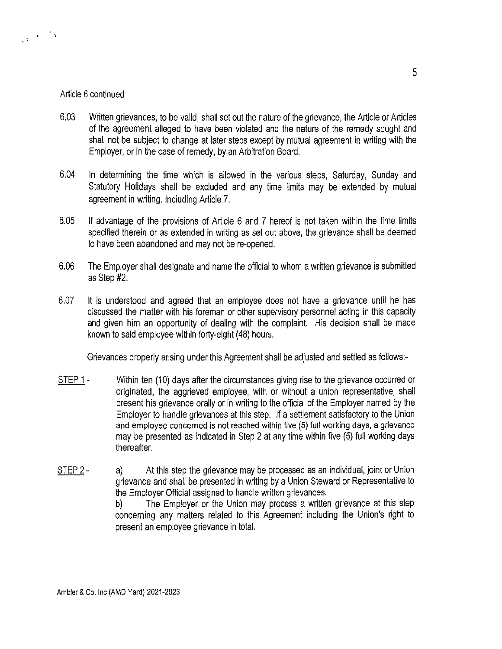### Article 6 continued

 $\frac{1}{\sqrt{1-\frac{1}{2}}}\left(\frac{1}{\sqrt{1-\frac{1}{2}}}\right)^{\frac{1}{2}}\frac{1}{\sqrt{1-\frac{1}{2}}}\left(\frac{1}{\sqrt{1-\frac{1}{2}}}\right)^{\frac{1}{2}}\frac{1}{\sqrt{1-\frac{1}{2}}}\left(\frac{1}{\sqrt{1-\frac{1}{2}}}\right)^{\frac{1}{2}}\frac{1}{\sqrt{1-\frac{1}{2}}}\left(\frac{1}{\sqrt{1-\frac{1}{2}}}\right)^{\frac{1}{2}}\frac{1}{\sqrt{1-\frac{1}{2}}}\left(\frac{1}{\sqrt{1-\frac{1}{2}}}\right)^{\frac{1}{2}}$ 

- 6.03 Written grievances, to be valid, shall set out the nature of the grievance, the Article or Articles of the agreement alleged to have been violated and the nature of the remedy sought and shall not be subject to change at later steps except by mutual agreement in writing with the Employer, or in the case of remedy, by an Arbitration Board.
- 6.04 In determining the time which is allowed in the various steps, Saturday, Sunday and Statutory Holidays shall be excluded and any time limits may be extended by mutual agreement in writing. Including Article 7.
- 6.05 If advantage of the provisions of Article 6 and 7 hereof is not taken within the time limits specified therein or as extended in writing as set out above, the grievance shall be deemed to have been abandoned and may not be re-opened.
- 6.06 The Employer shall designate and name the official to whom a written grievance is submitted as Step #2.
- 6.07 It is understood and agreed that an employee does not have a grievance until he has discussed the matter with his foreman or other supervisory personnel acting in this capacity and given him an opportunity of dealing with the complaint. His decision shall be made known to said employee within forty-eight (48) hours.

Grievances properly arising under this Agreement shall be adjusted and settled as follows:-

- STEP 1 Within ten (10) days after the circumstances giving rise to the grievance occurred or originated, the aggrieved employee, with or without a union representative, shall present his grievance orally or in writing to the official of the Employer named by the Employer to handle grievances at this step. If a settlement satisfactory to the Union and employee concerned is not reached within five (5) full working days, a grievance may be presented as indicated in Step 2 at any time within five (5) full working days thereafter.
- STEP 2 a) At this step the grievance may be processed as an individual, joint or Union grievance and shall be presented in writing by a Union Steward or Representative to the Employer Official assigned to handle written grievances.

b) The Employer or the Union may process a written grievance at this step concerning any matters related to this Agreement including the Union's right to present an employee grievance in total.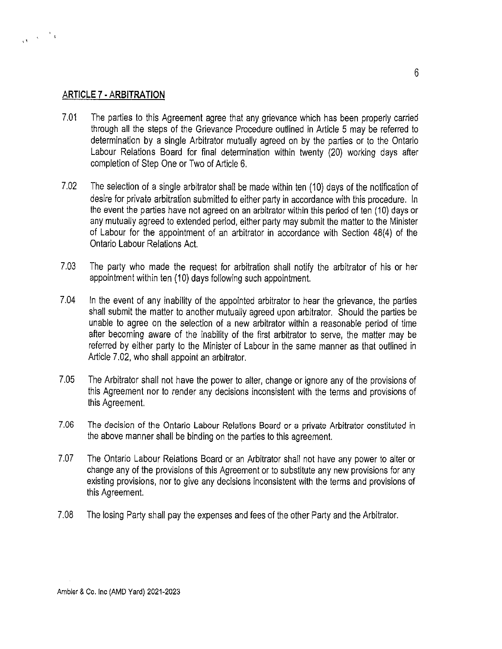### **ARTICLE 7 ·ARBITRATION**

 $\frac{1}{\sqrt{3}}$  ,  $\frac{1}{\sqrt{3}}$  ,  $\frac{1}{\sqrt{3}}$ 

- 7.01 The parties to this Agreement agree that any grievance which has been properly carried through all the steps of the Grievance Procedure outlined in Article 5 may be referred to determination by a single Arbitrator mutually agreed on by the parties or to the Ontario Labour Relations Board for final determination within twenty (20) working days after completion of Step One or Two of Article 6.
- 7.02 The selection of a single arbitrator shall be made within ten (10) days of the notification of desire for private arbitration submitted to either party in accordance with this procedure. In the event the parties have not agreed on an arbitrator within this period of ten (10) days or any mutually agreed to extended period, either party may submit the matter to the Minister of Labour for the appointment of an arbitrator in accordance with Section 48(4) of the Ontario Labour Relations Act.
- 7.03 The party who made the request for arbitration shall notify the arbitrator of his or her appointment within ten (10) days following such appointment.
- 7.04 In the event of any inability of the appointed arbitrator to hear the grievance, the parties shall submit the matter to another mutually agreed upon arbitrator. Should the parties be unable to agree on the selection of a new arbitrator within a reasonable period of time after becoming aware of the inability of the first arbitrator to serve, the matter may be referred by either party to the Minister of Labour in the same manner as that outlined in Article 7.02, who shall appoint an arbitrator.
- 7.05 The Arbitrator shall not have the power to alter, change or ignore any of the provisions of this Agreement nor to render any decisions inconsistent with the terms and provisions of this Agreement.
- 7.06 The decision of the Ontario Labour Relations Board or a private Arbitrator constituted in the above manner shall be binding on the parties to this agreement.
- 7.07 The Ontario Labour Relations Board or an Arbitrator shall not have any power to alter or change any of the provisions of this Agreement or to substitute any new provisions for any existing provisions, nor to give any decisions inconsistent with the terms and provisions of this Agreement.
- 7.08 The losing Party shall pay the expenses and fees of the other Party and the Arbitrator.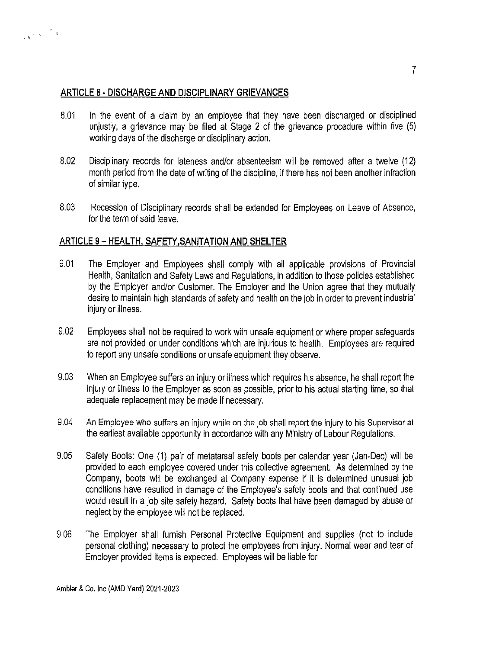

. '

- 8.01 In the event of a claim by an employee that they have been discharged or disciplined unjustly, a grievance may be filed at Stage 2 of the grievance procedure within five (5) working days of the discharge or disciplinary action.
- 8.02 Disciplinary records for lateness and/or absenteeism will be removed after a twelve (12) month period from the date of writing of the discipline, if there has not been another infraction of similar type.
- 8.03 Recession of Disciplinary records shall be extended for Employees on Leave of Absence, for the term of said leave.

# **ARTICLE 9 - HEAL TH, SAFETY ,SANITATION AND SHELTER**

- 9.01 The Employer and Employees shall comply with all applicable provisions of Provincial Health, Sanitation and Safety Laws and Regulations, in addition to those policies established by the Employer and/or Customer. The Employer and the Union agree that they mutually desire to maintain high standards of safety and health on the job in order to prevent industrial injury or illness.
- 9.02 Employees shall not be required to work with unsafe equipment or where proper safeguards are not provided or under conditions which are injurious to health. Employees are required to report any unsafe conditions or unsafe equipment they observe.
- 9.03 When an Employee suffers an injury or illness which requires his absence, he shall report the injury or illness to the Employer as soon as possible, prior to his actual starting time, so that adequate replacement may be made if necessary.
- 9.04 An Employee who suffers an injury while on the job shall report the injury to his Supervisor at the earliest available opportunity in accordance with any Ministry of Labour Regulations.
- 9.05 Safety Boots: One (1) pair of metatarsal safety boots per calendar year (Jan-Dec) will be provided to each employee covered under this collective agreement. As determined by the Company, boots will be exchanged at Company expense if it is determined unusual job conditions have resulted in damage of the Employee's safety boots and that continued use would result in a job site safety hazard. Safety boots that have been damaged by abuse or neglect by the employee will not be replaced.
- 9.06 The Employer shall furnish Personal Protective Equipment and supplies (not to include personal clothing) necessary to protect the employees from injury. Normal wear and tear of Employer provided items is expected. Employees will be liable for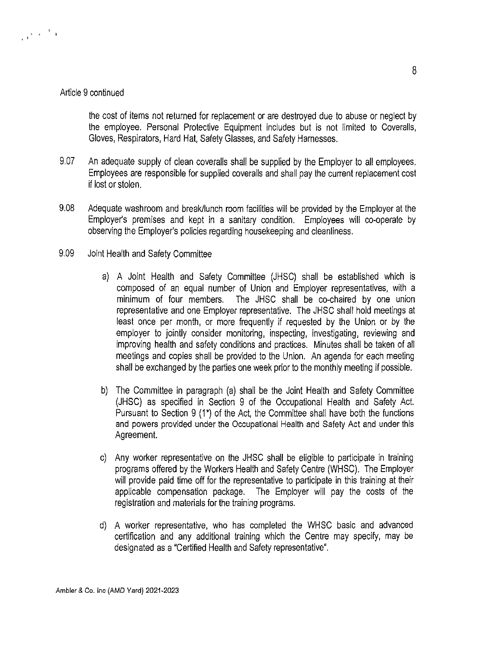#### Article 9 continued

 $\begin{array}{ccccc} & & & & & \mathbb{E} & & \\ & & \mathbb{E} & & \mathbb{E} & & \mathbb{E} \\ & & & \mathbb{E} & & \mathbb{E} & & \mathbb{E} \end{array}$ 

the cost of items not returned for replacement or are destroyed due to abuse or neglect by the employee. Personal Protective Equipment includes but is not limited to Coveralls, Gloves, Respirators, Hard Hat, Safety Glasses, and Safety Harnesses.

- 9.07 An adequate supply of clean coveralls shall be supplied by the Employer to all employees. Employees are responsible for supplied coveralls and shall pay the current replacement cost if lost or stolen.
- 9.08 Adequate washroom and break/lunch room facilities will be provided by the Employer at the Employer's premises and kept in a sanitary condition. Employees will co-operate by observing the Employer's policies regarding housekeeping and cleanliness.
- 9.09 Joint Health and Safety Committee
	- a) A Joint Health and Safety Committee (JHSC) shall be established which is composed of an equal number of Union and Employer representatives, with a minimum of four members. The JHSC shall be co-chaired by one union representative and one Employer representative. The JHSC shall hold meetings at least once per month, or more frequently if requested by the Union or by the employer to jointly consider monitoring, inspecting, investigating, reviewing and improving health and safety conditions and practices. Minutes shall be taken of all meetings and copies shall be provided to the Union. An agenda for each meeting shall be exchanged by the parties one week prior to the monthly meeting if possible.
	- b) The Committee in paragraph (a) shall be the Joint Health and Safety Committee (JHSC) as specified in Section 9 of the Occupational Health and Safety Act. Pursuant to Section 9 (1\*) of the Act, the Committee shall have both the functions and powers provided under the Occupational Health and Safety Act and under this Agreement.
	- c) Any worker representative on the JHSC shall be eligible to participate in training programs offered by the Workers Health and Safety Centre (WHSC). The Employer will provide paid time off for the representative to participate in this training at their applicable compensation package. The Employer will pay the costs of the registration and materials for the training programs.
	- d) A worker representative, who has completed the WHSC basic and advanced certification and any additional training which the Centre may specify, may be designated as a "Certified Health and Safety representative''.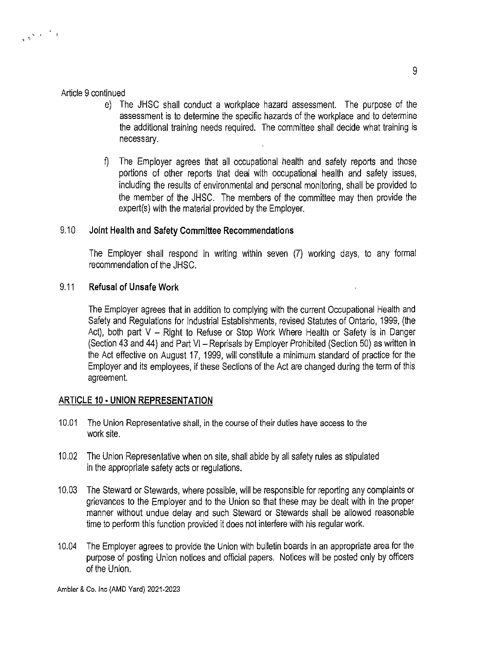### Article 9 continued

 $\begin{smallmatrix}&&&&1\\&&&1&\\&\ddots&\ddots&\ddots&\ddots&\ddots\end{smallmatrix}$ 

- e) The JHSC shall conduct a workplace hazard assessment. The purpose of the assessment is to determine the specific hazards of the workplace and to determine the additional training needs required. The committee shall decide what training is necessary.
- f) The Employer agrees that all occupational health and safety reports and those portions of other reports that deal with occupational health and safety issues, including the results of environmental and personal monitoring, shall be provided to the member of the JHSC. The members of the committee may then provide the expert(s) with the material provided by the Employer.

# 9.10 **Joint Health and Safety Committee Recommendations**

The Employer shall respond in writing within seven (7) working days, to any formal recommendation of the JHSC.

### 9.11 **Refusal of Unsafe Work**

The Employer agrees that in addition to complying with the current Occupational Health and Safety and Regulations for Industrial Establishments, revised Statutes of Ontario, 1999, (the Act), both part  $V -$  Right to Refuse or Stop Work Where Health or Safety is in Danger (Section 43 and 44) and Part VI - Reprisals by Employer Prohibited (Section 50) as written in the Act effective on August 17, 1999, will constitute a minimum standard of practice for the Employer and its employees, if these Sections of the Act are changed during the term of this agreement.

### **ARTICLE 10 ·UNION REPRESENTATION**

- 10.01 The Union Representative shall, in the course of their duties have access to the work site.
- 10.02 The Union Representative when on site, shall abide by all safety rules as stipulated in the appropriate safety acts or regulations.
- 10.03 The Steward or Stewards, where possible, will be responsible for reporting any complaints or grievances to the Employer and to the Union so that these may be dealt with in the proper manner without undue delay and such Steward or Stewards shall be allowed reasonable time to perform this function provided it does not interfere with his regular work.
- 10.04 The Employer agrees to provide the Union with bulletin boards in an appropriate area for the purpose of posting Union notices and official papers. Notices will be posted only by officers of the Union.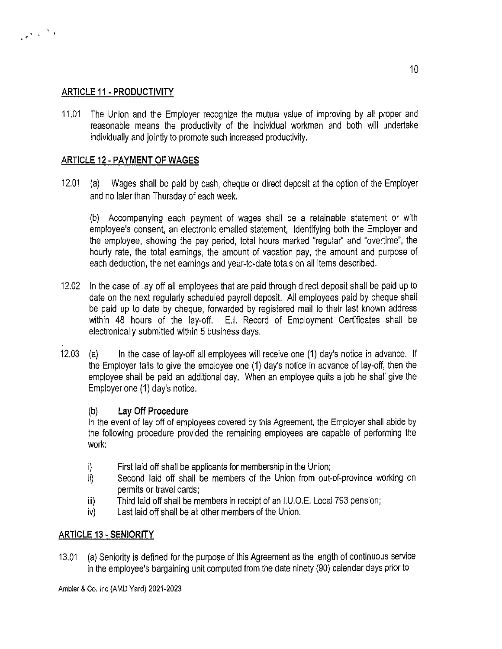# **ARTICLE 11 • PRODUCTIVITY**

 $\begin{smallmatrix}&&&&1\\&&&1\\&&&1\end{smallmatrix}$ 

11.01 The Union and the Employer recognize the mutual value of improving by all proper and reasonable means the productivity of the individual workman and both will undertake individually and jointly to promote such increased productivity.

# **ARTICLE 12 ·PAYMENT OF WAGES**

12.01 (a) Wages shall be paid by cash, cheque or direct deposit at the option of the Employer and no later than Thursday of each week.

(b) Accompanying each payment of wages shall be a retainable statement or with employee's consent, an electronic emailed statement, identifying both the Employer and the employee, showing the pay period, total hours marked "regular'' and "overtime'', the hourly rate, the total earnings, the amount of vacation pay, the amount and purpose of each deduction, the net earnings and year-to-date totals on all items described.

- 12.02 In the case of lay off all employees that are paid through direct deposit shall be paid up to date on the next regularly scheduled payroll deposit. All employees paid by cheque shall be paid up to date by cheque, forwarded by registered mail to their last known address within 48 hours of the lay-off. E.I. Record of Employment Certificates shall be electronically submitted within 5 business days.
- 12.03 (a) In the case of lay-of! all employees will receive one **(1)** day's notice in advance. If the Employer fails to give the employee one (1) day's notice in advance of lay-off, then the employee shall be paid an additional day. When an employee quits a job he shall give the Employer one (1) day's notice.

# (b) **Lay Off Procedure**

In the event of lay off of employees covered by this Agreement, the Employer shall abide by the following procedure provided the remaining employees are capable of performing the work:

- i) First laid off shall be applicants for membership in the Union;
- ii) Second laid off shall be members of the Union from out-of-province working on permits or travel cards;
- iii) Third laid off shall be members in receipt of an l.U.O.E. Local 793 pension;
- iv) Last laid off shall be all other members of the Union.

# **ARTICLE 13 ·SENIORITY**

13.01 (a) Seniority is defined for the purpose of this Agreement as the length of continuous service in the employee's bargaining unit computed from the date ninety (90) calendar days prior to

Ambler & Co. Inc (AMO Yard) 2021-2023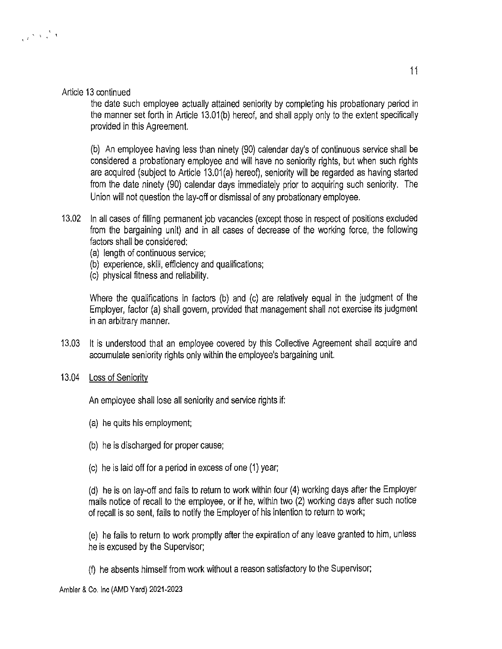### Article 13 continued

the date such employee actually attained seniority by completing his probationary period in the manner set forth in Article 13.01(b) hereof, and shall apply only to the extent specifically provided in this Agreement.

(b) An employee having less than ninety (90) calendar day's of continuous service shall be considered a probationary employee and will have no seniority rights, but when such rights are acquired (subject to Article 13.01(a) hereof), seniority will be regarded as having started from the date ninety (90) calendar days immediately prior to acquiring such seniority. The Union will not question the lay-off or dismissal of any probationary employee.

- 13.02 In all cases of filling permanent job vacancies (except those in respect of positions excluded from the bargaining unit) and in all cases of decrease of the working force, the following factors shall be considered:
	- (a) length of continuous service;
	- (b) experience, skill, efficiency and qualifications;
	- (c) physical fitness and reliability.

Where the qualifications in factors (b) and (c) are relatively equal in the judgment of the Employer, factor (a) shall govern, provided that management shall not exercise its judgment in an arbitrary manner.

- 13.03 It is understood that an employee covered by this Collective Agreement shall acquire and accumulate seniority rights only within the employee's bargaining unit.
- 13.04 Loss of Seniority

An employee shall lose all seniority and service rights if:

- (a) he quits his employment;
- (b) he is discharged for proper cause;
- (c) he is laid off for a period in excess of one (1) year;

(d) he is on lay-off and fails to return to work within four (4) working days after the Employer mails notice of recall to the employee, or if he, within two (2) working days after such notice of recall is so sent, fails to notify the Employer of his intention to return to work;

(e) he fails to return to work promptly after the expiration of any leave granted to him, unless he is excused by the Supervisor;

(f) he absents himself from work without a reason satisfactory to the Supervisor;

Ambler & Co. Inc (AMO Yard) 2021-2023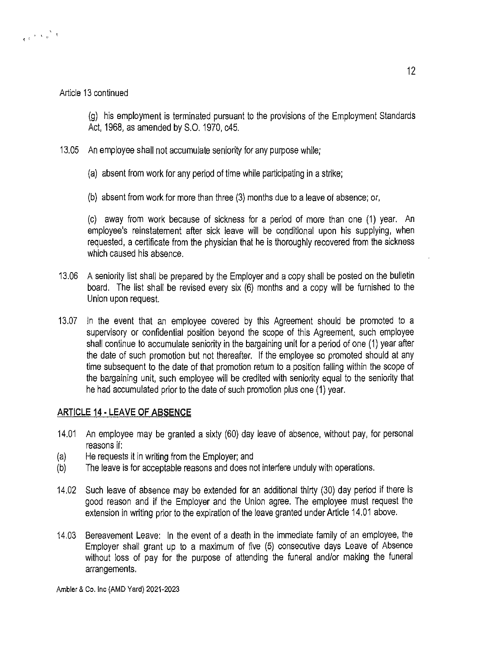### Article 13 continued

'.

(g) his employment is terminated pursuant to the provisions of the Employment Standards Act, 1968, as amended by S.O. 1970, c45.

- 13.05 An employee shall not accumulate seniority for any purpose while;
	- (a) absent from work for any period of time while participating in a strike;
	- (b) absent from work for more than three (3) months due to a leave of absence; or,

(c) away from work because of sickness for a period of more than one (1) year. An employee's reinstatement after sick leave will be conditional upon his supplying, when requested, a certificate from the physician that he is thoroughly recovered from the sickness which caused his absence.

- 13.06 A seniority list shall be prepared by the Employer and a copy shall be posted on the bulletin board. The list shall be revised every six (6) months and a copy will be furnished to the Union upon request.
- 13.07 In the event that an employee covered by this Agreement should be promoted to a supervisory or confidential position beyond the scope of this Agreement, such employee shall continue to accumulate seniority in the bargaining unit for a period of one (1) year after the date of such promotion but not thereafter. If the employee so promoted should at any time subsequent to the date of that promotion return to a position falling within the scope of the bargaining unit, such employee will be credited with seniority equal to the seniority that he had accumulated prior to the date of such promotion plus one (1) year.

### **ARTICLE 14 ·LEAVE OF ABSENCE**

- 14.01 An employee may be granted a sixty (60) day leave of absence, without pay, for personal reasons if:
- (a) He requests it in writing from the Employer; and
- (b) The leave is for acceptable reasons and does not interfere unduly with operations.
- 14.02 Such leave of absence may be extended for an additional thirty (30) day period if there is good reason and if the Employer and the Union agree. The employee must request the extension in writing prior to the expiration of the leave granted under Article 14.01 above.
- 14.03 Bereavement Leave: In the event of a death in the immediate family of an employee, the Employer shall grant up to a maximum of five (5) consecutive days Leave of Absence without loss of pay for the purpose of attending the funeral and/or making the funeral arrangements.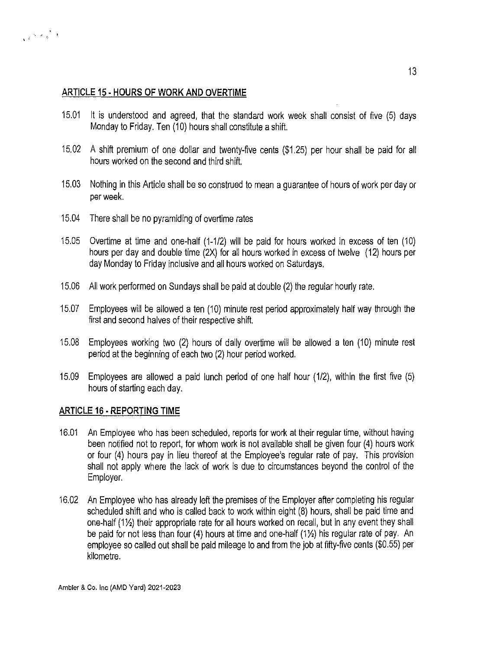# **ARTICLE 15 ·HOURS OF WORK AND OVERTIME**

 $\epsilon$ <sup>'s a</sup>

- 15.01 It is understood and agreed, that the standard work week shall consist of five (5) days Monday to Friday. Ten (10) hours shall constitute a shift.
- 15.02 A shift premium of one dollar and twenty-five cents (\$1.25) per hour shall be paid for all hours worked on the second and third shift.
- 15.03 Nothing in this Article shall be so construed to mean a guarantee of hours of work per day or per week.
- 15.04 There shall be no pyramiding of overtime rates
- 15.05 Overtime at time and one-half (1-1/2) will be paid for hours worked in excess of ten (10) hours per day and double time (2X) for all hours worked in excess of twelve (12) hours per day Monday to Friday inclusive and all hours worked on Saturdays.
- 15.06 All work performed on Sundays shall be paid at double (2) the regular hourly rate.
- 15.07 Employees will be allowed a ten (10) minute rest period approximately half way through the first and second halves of their respective shift.
- 15.08 Employees working two (2) hours of daily overtime will be allowed a ten (10) minute rest period at the beginning of each two (2) hour period worked.
- 15.09 Employees are allowed a paid lunch period of one half hour (1/2), within the first five (5) hours of starting each day.

### **ARTICLE 16 ·REPORTING TIME**

- 16.01 An Employee who has been scheduled, reports for work at their regular time, without having been notified not to report, for whom work is not available shall be given four (4) hours work or four (4) hours pay in lieu thereof at the Employee's regular rate of pay. This provision shall not apply where the lack of work is due to circumstances beyond the control of the Employer.
- 16.02 An Employee who has already left the premises of the Employer after completing his regular scheduled shift and who is called back to work within eight (8) hours, shall be paid time and one-half (11/2) their appropriate rate for all hours worked on recall, but in any event they shall be paid for not less than four (4) hours at time and one-half  $(1/2)$  his regular rate of pay. An employee so called out shall be paid mileage to and from the job at fifty-five cents (\$0.55) per kilometre.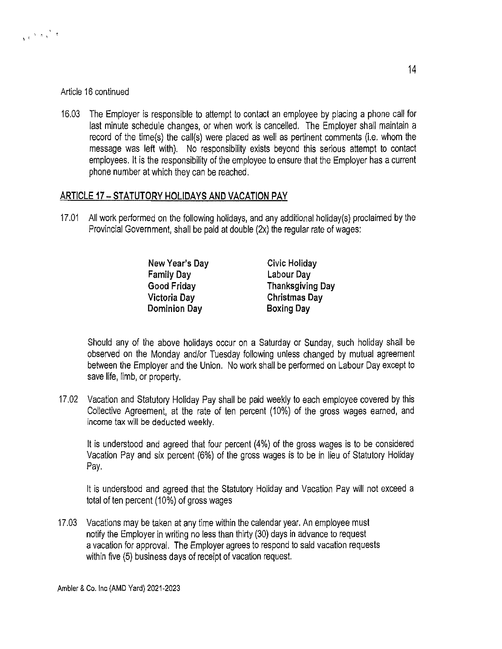### Article 16 continued

 $\sqrt{t}$  '  $\sqrt{t}$  '

16.03 The Employer is responsible to attempt to contact an employee by placing a phone call for last minute schedule changes, or when work is cancelled. The Employer shall maintain a record of the time(s) the call(s) were placed as well as pertinent comments (i.e. whom the message was left with). No responsibility exists beyond this serious attempt to contact employees. It is the responsibility of the employee to ensure that the Employer has a current phone number at which they can be reached.

# ARTICLE 17 - STATUTORY HOLIDAYS AND VACATION PAY

17.01 All work performed on the following holidays, and any additional holiday(s) proclaimed by the Provincial Government, shall be paid at double (2x) the regular rate of wages:

| New Year's Day    | Civic Holiday           |
|-------------------|-------------------------|
| <b>Family Day</b> | Labour Day              |
| Good Friday       | <b>Thanksgiving Day</b> |
| Victoria Day      | <b>Christmas Day</b>    |
| Dominion Day      | <b>Boxing Day</b>       |

Should any of the above holidays occur on a Saturday or Sunday, such holiday shall be observed on the Monday and/or Tuesday following unless changed by mutual agreement between the Employer and the Union. No work shall be performed on Labour Day except to save life, limb, or property.

17.02 Vacation and Statutory Holiday Pay shall be paid weekly to each employee covered by this Collective Agreement, at the rate of ten percent (10%) of the gross wages earned, and income tax will be deducted weekly.

It is understood and agreed that four percent (4%) of the gross wages is to be considered Vacation Pay and six percent (6%) of the gross wages is to be in lieu of Statutory Holiday Pay.

It is understood and agreed that the Statutory Holiday and Vacation Pay will not exceed a total of ten percent (10%) of gross wages

17.03 Vacations may be taken at any time within the calendar year. An employee must notify the Employer in writing no less than thirty (30) days in advance to request a vacation for approval. The Employer agrees to respond to said vacation requests within five (5) business days of receipt of vacation request.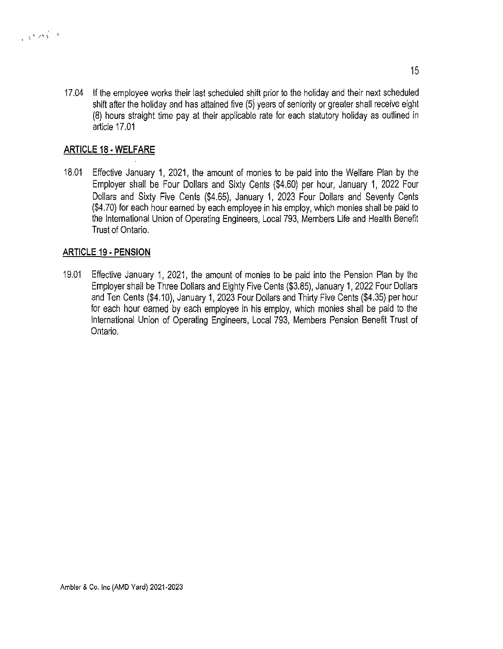17.04 If the employee works their last scheduled shift prior to the holiday and their next scheduled shift after the holiday and has attained five  $(5)$  years of seniority or greater shall receive eight (8) hours straight time pay at their applicable rate for each statutory holiday as outlined in article 17.01

# **ARTICLE 18 ·WELFARE**

18.01 Effective January 1, 2021, the amount of monies to be paid into the Welfare Plan by the Employer shall be Four Dollars and Sixty Cents (\$4.60) per hour, January 1, 2022 Four Dollars and Sixty Five Cents (\$4.65), January 1, 2023 Four Dollars and Seventy Cents (\$4.70) for each hour earned by each employee in his employ, which monies shall be paid to the International Union of Operating Engineers, Local 793, Members Life and Health Benefit Trust of Ontario.

### **ARTICLE 19 ·PENSION**

19.01 Effective January 1, 2021, the amount of monies to be paid into the Pension Plan by the Employer shall be Three Dollars and Eighty Five Cents (\$3.85), January 1, 2022 Four Dollars and Ten Cents {\$4.10), January 1, 2023 Four Dollars and Thirty Five Cents (\$4.35) per hour for each hour earned by each employee in his employ, which monies shall be paid to the International Union of Operating Engineers, Local 793, Members Pension Benefit Trust of Ontario.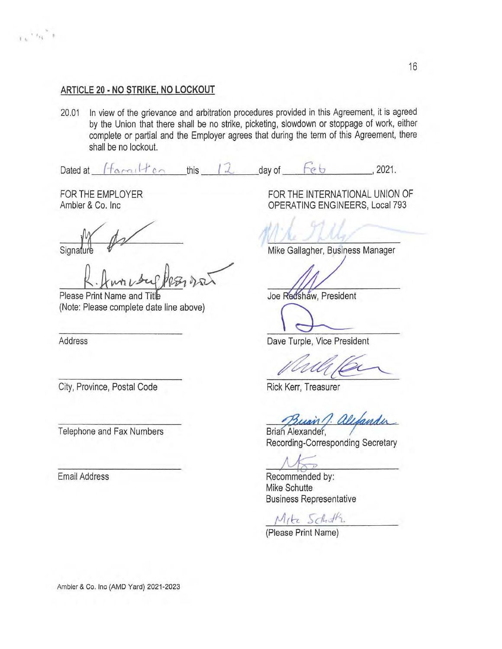# **ARTICLE 20 • NO STRIKE, NO LOCKOUT**

20.01 In view of the grievance and arbitration procedures provided in this Agreement, it is agreed by the Union that there shall be no strike, picketing, slowdown or stoppage of work, either complete or partial and the Employer agrees that during the term of this Agreement, there shall be no lockout.

Dated at  $\int$ *f*  $\alpha$ ,  $\alpha$ ,  $\int$  *r*  $\alpha$  this  $\int$  *l*  $\alpha$  day of  $\int$  *f*  $\alpha$  b  $\qquad$  , 2021.

FOR THE EMPLOYER Ambler & Co. Inc

 $\epsilon$  ,  $\epsilon_{\rm R}$   $^*$  +

 $Signalure$ 

Please Print Name and Titl (Note: Please complete date line above)

Address

City, Province, Postal Code

Telephone and Fax Numbers

Email Address

FOR THE INTERNATIONAL UNION OF OPERATING ENGINEERS, Local 793

Mike Gallagher, Business Manager

Joe Redshaw, President

Redshaw, President<br>
e Turple, Vice President

Dave Turple, Vice President

Rick Kerr, Treasurer

Busin J. alefander

Recording-Corresponding Secretary

Recommended by: Mike Schutte Business Representative

Mita Schottz

(Please Print Name)

Ambler & Co. Inc (AMD Yard) 2021-2023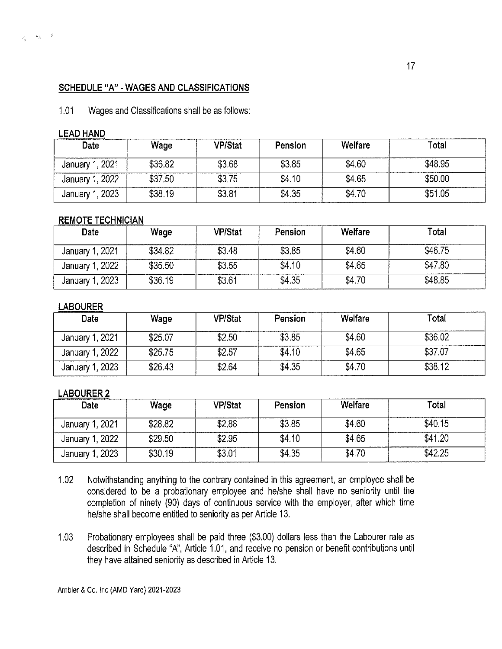#### **SCHEDULE "A" ·WAGES AND CLASSIFICATIONS**

1.01 Wages and Classifications shall be as follows:

#### **LEAD HAND**

| Date                | Wage    | <b>VP/Stat</b> | Pension | Welfare | Total   |
|---------------------|---------|----------------|---------|---------|---------|
| , 2021<br>January 1 | \$36.82 | \$3.68         | \$3.85  | \$4.60  | \$48.95 |
| January 1, 2022     | \$37.50 | \$3.75         | \$4.10  | \$4.65  | \$50.00 |
| January 1, 2023     | \$38.19 | \$3.81         | \$4.35  | \$4.70  | \$51.05 |

#### **REMOTE TECHNICIAN**

| Date            | Wage    | <b>VP/Stat</b> | Pension | Welfare | Total   |
|-----------------|---------|----------------|---------|---------|---------|
| January 1, 2021 | \$34.82 | \$3.48         | \$3,85  | \$4.60  | \$46.75 |
| January 1, 2022 | \$35,50 | \$3.55         | \$4.10  | \$4.65  | \$47.80 |
| January 1, 2023 | \$36.19 | \$3.61         | \$4.35  | \$4.70  | \$48.85 |

#### **LABOURER**

| Date            | Wage    | <b>VP/Stat</b> | Pension | Welfare | Total   |
|-----------------|---------|----------------|---------|---------|---------|
| January 1, 2021 | \$25.07 | \$2.50         | \$3.85  | \$4.60  | \$36.02 |
| January 1, 2022 | \$25.75 | \$2.57         | \$4.10  | \$4.65  | \$37.07 |
| January 1, 2023 | \$26.43 | \$2.64         | \$4,35  | \$4.70  | \$38.12 |

#### **LABOURER2**

| Date            | Wage    | <b>VP/Stat</b> | <b>Pension</b> | Welfare | Total   |
|-----------------|---------|----------------|----------------|---------|---------|
| January 1, 2021 | \$28.82 | \$2.88         | \$3.85         | \$4.60  | \$40.15 |
| January 1, 2022 | \$29.50 | \$2.95         | \$4.10         | \$4.65  | \$41.20 |
| January 1, 2023 | \$30.19 | \$3.01         | \$4.35         | \$4.70  | \$42.25 |

- 1.02 Notwithstanding anything to the contrary contained in this agreement, an employee shall be considered to be a probationary employee and he/she shall have no seniority until the completion of ninety (90) days of continuous service with the employer, after which time he/she shall become entitled to seniority as per Article 13.
- 1.03 Probationary employees shall be paid three (\$3.00) dollars less than the Labourer rate as described in Schedule "A", Article 1.01, and receive no pension or benefit contributions until they have attained seniority as described in Article 13.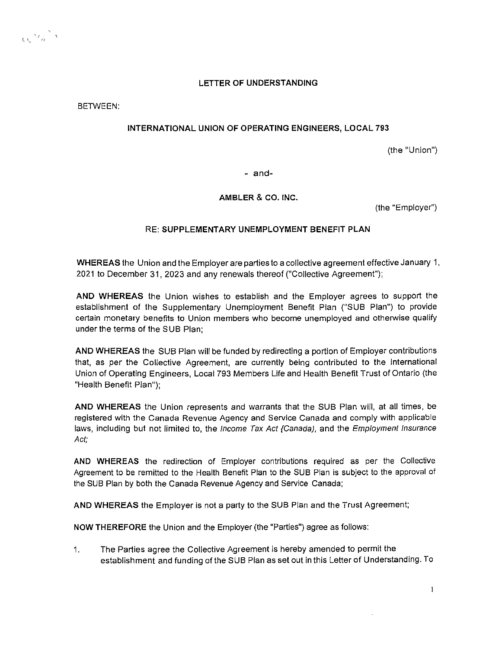#### **LETTER OF UNDERSTANDING**

BETWEEN:

W.

#### **INTERNATIONAL UNION OF OPERATING ENGINEERS, LOCAL 793**

(the "Union")

- and-

**AMBLER & CO. INC.** 

(the "Employer")

#### RE: **SUPPLEMENTARY UNEMPLOYMENT BENEFIT PLAN**

**WHEREAS** the Union and the Employer are parties to a collective agreement effective January 1, 2021 to December 31, 2023 and any renewals thereof ("Collective Agreement");

**AND WHEREAS** the Union wishes to establish and the Employer agrees to support the establishment of the Supplementary Unemployment Benefit Plan ("SUB Plan") to provide certain monetary benefits to Union members who become unemployed and otherwise qualify under the terms of the SUB Plan;

**AND WHEREAS** the SUB Plan will be funded by redirecting a portion of Employer contributions that, as per the Collective Agreement, are currently being contributed to the International Union of Operating Engineers, Local 793 Members Life and Health Benefit Trust of Ontario (the "Health Benefit Plan");

**AND WHEREAS** the Union represents and warrants that the SUB Plan will, at all times, be registered with the Canada Revenue Agency and Service Canada and comply with applicable laws, including but not limited to, the Income Tax Act (Canada), and the Employment Insurance Act;

**AND WHEREAS** the redirection of Employer contributions required as per the Collective Agreement to be remitted to the Health Benefit Plan to the SUB Plan is subject to the approval of the SUB Plan by both the Canada Revenue Agency and Service Canada;

**AND WHEREAS** the Employer is not a party to the SUB Plan and the Trust Agreement;

**NOW THEREFORE** the Union and the Employer (the "Parties") agree as follows:

1. The Parties agree the Collective Agreement is hereby amended to permit the establishment and funding of the SUB Plan as set out in this Letter of Understanding. To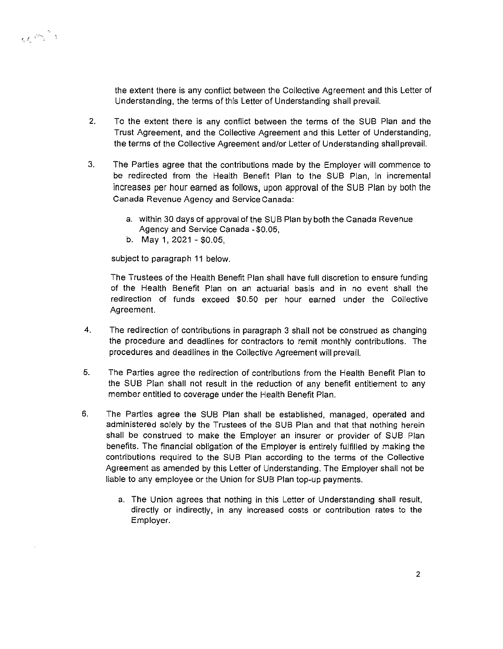

the extent there is any conflict between the Collective Agreement and this Letter of Understanding, the terms of this Letter of Understanding shall prevail.

- 2. To the extent there is any conflict between the terms of the SUB Plan and the Trust Agreement, and the Collective Agreement and this Letter of Understanding, the terms of the Collective Agreement and/or Letter of Understanding shall prevail.
- 3. The Parties agree that the contributions made by the Employer will commence to be redirected from the Health Benefit Plan to the SUB Plan, in incremental increases per hour earned as follows, upon approval of the SUB Plan by both the Canada Revenue Agency and Service Canada:
	- a. within 30 days of approval of the SUB Plan by both the Canada Revenue Agency and Service Canada - \$0.05,
	- b. May 1, 2021 \$0.05,

subject to paragraph 11 below.

The Trustees of the Health Benefit Plan shall have full discretion to ensure funding of the Health Benefit Plan on an actuarial basis and in no event shall the redirection of funds exceed \$0.50 per hour earned under the Collective Agreement.

- 4. The redirection of contributions in paragraph 3 shall not be construed as changing the procedure and deadlines for contractors to remit monthly contributions. The procedures and deadlines in the Collective Agreement will prevail.
- 5. The Parties agree the redirection of contributions from the Health Benefit Plan to the SUB Plan shall not result in the reduction of any benefit entitlement to any member entitled to coverage under the Health Benefit Plan.
- 6. The Parties agree the SUB Plan shall be established, managed, operated and administered solely by the Trustees of the SUB Plan and that that nothing herein shall be construed to make the Employer an insurer or provider of SUB Plan benefits. The financial obligation of the Employer is entirely fulfilled by making the contributions required to the SUB Plan according to the terms of the Collective Agreement as amended by this Letter of Understanding. The Employer shall not be liable to any employee or the Union for SUB Plan top-up payments.
	- a. The Union agrees that nothing in this Letter of Understanding shall result, directly or indirectly, in any increased costs or contribution rates to the Employer.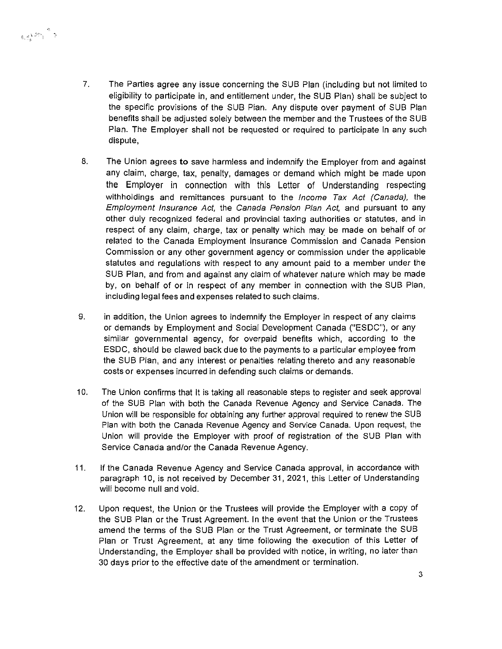7. The Parties agree any issue concerning the SUB Plan (including but not limited to eligibility to participate in, and entitlement under, the SUB Plan) shall be subject to the specific provisions of the SUB Plan. Any dispute over payment of SUB Plan benefits shall be adjusted solely between the member and the Trustees of the SUB Plan. The Employer shall not be requested or required to participate In any such dispute,

RAM S

- 8. The Union agrees to save harmless and indemnify the Employer from and against any claim, charge, tax, penalty, damages or demand which might be made upon the Employer in connection with this Letter of Understanding respecting withholdings and remittances pursuant to the *Income Tax Act (Canada)*, the Employment Insurance Act, the Canada Pension Plan Act, and pursuant to any other duly recognized federal and provincial taxing authorities or statutes, and in respect of any claim, charge, tax or penalty which may be made on behalf of or related to the Canada Employment Insurance Commission and Canada Pension Commission or any other government agency or commission under the applicable statutes and regulations with respect to any amount paid to a member under the SUB Plan, and from and against any claim of whatever nature which may be made by, on behalf of or in respect of any member in connection with the SUB Plan, including legal fees and expenses related to such claims.
- 9. in addition, the Union agrees to indemnify the Employer in respect of any claims or demands by Employment and Social Development Canada ("ESDC"), or any similar governmental agency, for overpaid benefits which, according to the ESDC, should be clawed back due to the payments to a particular employee from the SUB Plan, and any interest or penalties relating thereto and any reasonable costs or expenses incurred in defending such claims or demands.
- 10. The Union confirms that It is taking all reasonable steps to register and seek approval of the SUB Plan with both the Canada Revenue Agency and Service Canada. The Union will be responsible for obtaining any further approval required to renew the SUB Plan with both the Canada Revenue Agency and Service Canada. Upon request, the Union will provide the Employer with proof of registration of the SUB Plan with Service Canada and/or the Canada Revenue Agency.
- 11. If the Canada Revenue Agency and Service Canada approval, in accordance with paragraph 10, is not received by December 31, 2021, this Letter of Understanding will become null and void.
- 12. Upon request, the Union or the Trustees will provide the Employer with a copy of the SUB Plan or the Trust Agreement. In the event that the Union or the Trustees amend the terms of the SUB Plan or the Trust Agreement, or terminate the SUB Plan or Trust Agreement, at any time following the execution of this Letter of Understanding, the Employer shall be provided with notice, in writing, no later than 30 days prior to the effective date of the amendment or termination.